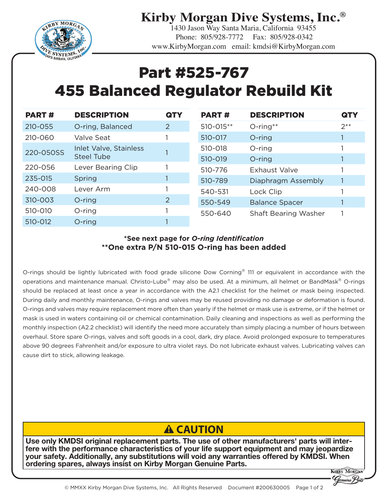**Kirby Morgan Dive Systems, Inc.®** 1430 Jason Way Santa Maria, California 93455



 Phone: 805/928-7772 Fax: 805/928-0342 www.KirbyMorgan.com email: kmdsi@KirbyMorgan.com

## Part #525-767 455 Balanced Regulator Rebuild Kit

| <b>PART#</b> | <b>DESCRIPTION</b>                   | <b>QTY</b> | <b>PART#</b> | <b>DESCRIPTION</b>          | <b>QTY</b> |
|--------------|--------------------------------------|------------|--------------|-----------------------------|------------|
| $210 - 055$  | O-ring, Balanced                     | 2          | 510-015**    | $O$ -ring**                 | $2^{**}$   |
| 210-060      | Valve Seat                           |            | 510-017      | O-ring                      |            |
| 220-050SS    | Inlet Valve, Stainless<br>Steel Tube |            | 510-018      | O-ring                      |            |
|              |                                      |            | 510-019      | O-ring                      |            |
| 220-056      | Lever Bearing Clip                   |            | 510-776      | Exhaust Valve               |            |
| 235-015      | Spring                               |            | 510-789      | Diaphragm Assembly          |            |
| 240-008      | Lever Arm                            |            | 540-531      | Lock Clip                   |            |
| 310-003      | $O$ -ring                            | 2          | 550-549      | <b>Balance Spacer</b>       |            |
| 510-010      | $O$ -ring                            |            | 550-640      | <b>Shaft Bearing Washer</b> |            |
| 510-012      | O-ring                               |            |              |                             |            |

## **\*See next page for** *O-ring Identification* **\*\*One extra P/N 510-015 O-ring has been added**

O-rings should be lightly lubricated with food grade silicone Dow Corning® 111 or equivalent in accordance with the operations and maintenance manual. Christo-Lube® may also be used. At a minimum, all helmet or BandMask® O-rings should be replaced at least once a year in accordance with the A2.1 checklist for the helmet or mask being inspected. During daily and monthly maintenance, O-rings and valves may be reused providing no damage or deformation is found. O-rings and valves may require replacement more often than yearly if the helmet or mask use is extreme, or if the helmet or mask is used in waters containing oil or chemical contamination. Daily cleaning and inspections as well as performing the monthly inspection (A2.2 checklist) will identify the need more accurately than simply placing a number of hours between overhaul. Store spare O-rings, valves and soft goods in a cool, dark, dry place. Avoid prolonged exposure to temperatures above 90 degrees Fahrenheit and/or exposure to ultra violet rays. Do not lubricate exhaust valves. Lubricating valves can cause dirt to stick, allowing leakage.

## **A CAUTION**

Use only KMDSI original replacement parts. The use of other manufacturers' parts will interfere with the performance characteristics of your life support equipment and may jeopardize your safety. Additionally, any substitutions will void any warranties offered by KMDSI. When ordering spares, always insist on Kirby Morgan Genuine Parts.

**KERBY MORGE**